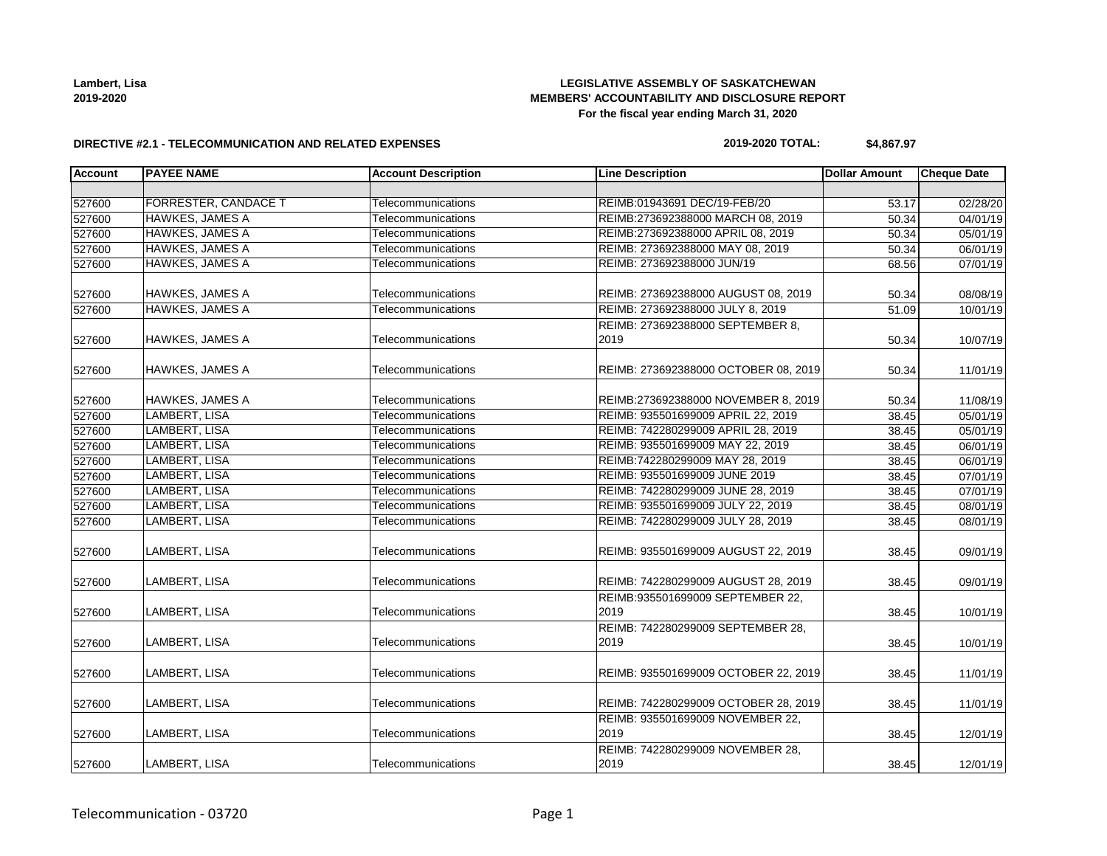**Lambert, Lisa 2019-2020**

### **LEGISLATIVE ASSEMBLY OF SASKATCHEWAN MEMBERS' ACCOUNTABILITY AND DISCLOSURE REPORT For the fiscal year ending March 31, 2020**

#### **DIRECTIVE #2.1 - TELECOMMUNICATION AND RELATED EXPENSES**

#### **2019-2020 TOTAL: \$4,867.97**

| <b>Account</b> | <b>PAYEE NAME</b>           | <b>Account Description</b> | <b>Line Description</b>                   | <b>Dollar Amount</b> | <b>Cheque Date</b> |
|----------------|-----------------------------|----------------------------|-------------------------------------------|----------------------|--------------------|
|                |                             |                            |                                           |                      |                    |
| 527600         | <b>FORRESTER, CANDACE T</b> | Telecommunications         | REIMB:01943691 DEC/19-FEB/20              | 53.17                | 02/28/20           |
| 527600         | <b>HAWKES, JAMES A</b>      | Telecommunications         | REIMB:273692388000 MARCH 08, 2019         | 50.34                | 04/01/19           |
| 527600         | HAWKES, JAMES A             | Telecommunications         | REIMB:273692388000 APRIL 08, 2019         | 50.34                | 05/01/19           |
| 527600         | HAWKES, JAMES A             | Telecommunications         | REIMB: 273692388000 MAY 08, 2019          | 50.34                | 06/01/19           |
| 527600         | <b>HAWKES, JAMES A</b>      | Telecommunications         | REIMB: 273692388000 JUN/19                | 68.56                | 07/01/19           |
| 527600         | HAWKES, JAMES A             | Telecommunications         | REIMB: 273692388000 AUGUST 08, 2019       | 50.34                | 08/08/19           |
| 527600         | <b>HAWKES, JAMES A</b>      | Telecommunications         | REIMB: 273692388000 JULY 8, 2019          | 51.09                | 10/01/19           |
|                |                             |                            | REIMB: 273692388000 SEPTEMBER 8,          |                      |                    |
| 527600         | HAWKES, JAMES A             | Telecommunications         | 2019                                      | 50.34                | 10/07/19           |
| 527600         | <b>HAWKES, JAMES A</b>      | Telecommunications         | REIMB: 273692388000 OCTOBER 08, 2019      | 50.34                | 11/01/19           |
| 527600         | <b>HAWKES, JAMES A</b>      | Telecommunications         | REIMB:273692388000 NOVEMBER 8, 2019       | 50.34                | 11/08/19           |
| 527600         | LAMBERT, LISA               | Telecommunications         | REIMB: 935501699009 APRIL 22, 2019        | 38.45                | 05/01/19           |
| 527600         | LAMBERT, LISA               | Telecommunications         | REIMB: 742280299009 APRIL 28, 2019        | 38.45                | 05/01/19           |
| 527600         | LAMBERT, LISA               | Telecommunications         | REIMB: 935501699009 MAY 22, 2019          | 38.45                | 06/01/19           |
| 527600         | LAMBERT, LISA               | Telecommunications         | REIMB:742280299009 MAY 28, 2019           | 38.45                | 06/01/19           |
| 527600         | LAMBERT, LISA               | Telecommunications         | REIMB: 935501699009 JUNE 2019             | 38.45                | 07/01/19           |
| 527600         | LAMBERT, LISA               | Telecommunications         | REIMB: 742280299009 JUNE 28, 2019         | 38.45                | 07/01/19           |
| 527600         | LAMBERT, LISA               | Telecommunications         | REIMB: 935501699009 JULY 22, 2019         | 38.45                | 08/01/19           |
| 527600         | LAMBERT, LISA               | Telecommunications         | REIMB: 742280299009 JULY 28, 2019         | 38.45                | 08/01/19           |
| 527600         | LAMBERT, LISA               | Telecommunications         | REIMB: 935501699009 AUGUST 22, 2019       | 38.45                | 09/01/19           |
| 527600         | LAMBERT, LISA               | Telecommunications         | REIMB: 742280299009 AUGUST 28, 2019       | 38.45                | 09/01/19           |
| 527600         | LAMBERT, LISA               | Telecommunications         | REIMB:935501699009 SEPTEMBER 22,<br>2019  | 38.45                | 10/01/19           |
| 527600         | LAMBERT, LISA               | Telecommunications         | REIMB: 742280299009 SEPTEMBER 28,<br>2019 | 38.45                | 10/01/19           |
| 527600         | LAMBERT, LISA               | Telecommunications         | REIMB: 935501699009 OCTOBER 22, 2019      | 38.45                | 11/01/19           |
| 527600         | LAMBERT, LISA               | Telecommunications         | REIMB: 742280299009 OCTOBER 28, 2019      | 38.45                | 11/01/19           |
| 527600         | LAMBERT, LISA               | Telecommunications         | REIMB: 935501699009 NOVEMBER 22,<br>2019  | 38.45                | 12/01/19           |
| 527600         | LAMBERT, LISA               | Telecommunications         | REIMB: 742280299009 NOVEMBER 28,<br>2019  | 38.45                | 12/01/19           |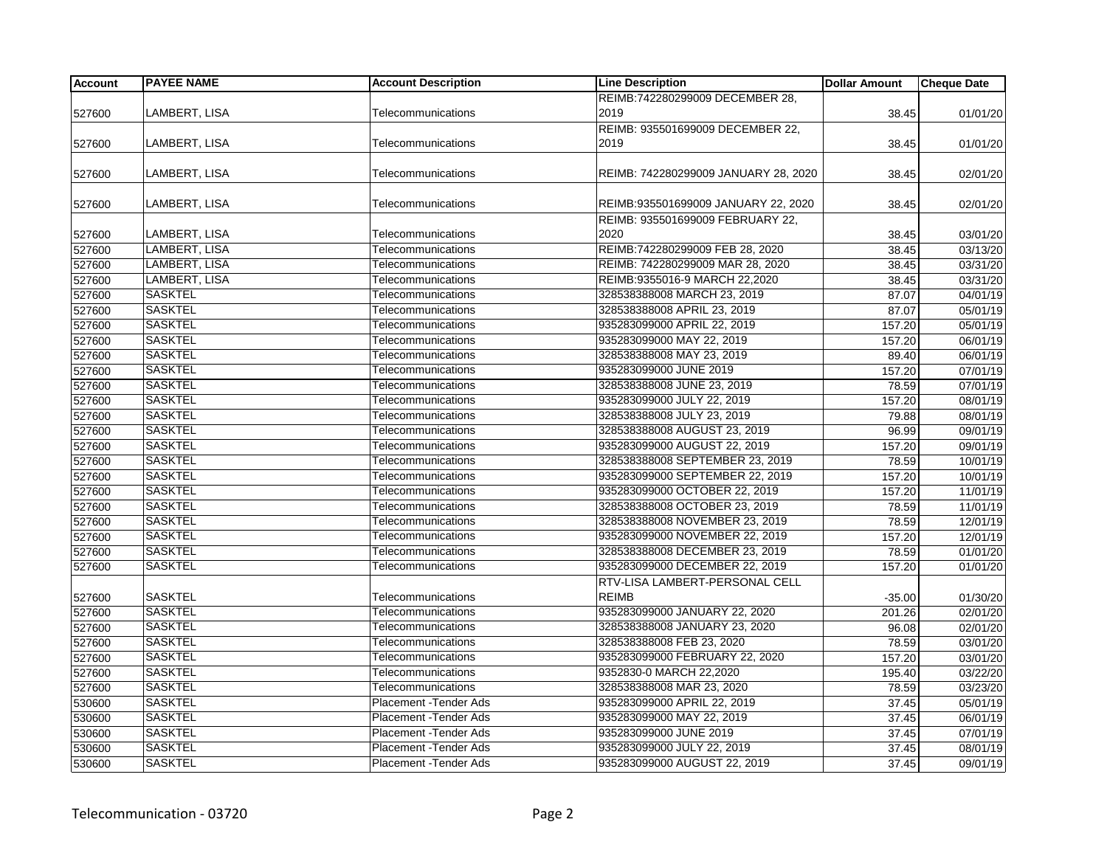| <b>Account</b> | <b>PAYEE NAME</b> | <b>Account Description</b> | <b>Line Description</b>              | <b>Dollar Amount</b> | <b>Cheque Date</b> |
|----------------|-------------------|----------------------------|--------------------------------------|----------------------|--------------------|
|                |                   |                            | REIMB:742280299009 DECEMBER 28,      |                      |                    |
| 527600         | LAMBERT, LISA     | Telecommunications         | 2019                                 | 38.45                | 01/01/20           |
|                |                   |                            | REIMB: 935501699009 DECEMBER 22,     |                      |                    |
| 527600         | LAMBERT, LISA     | Telecommunications         | 2019                                 | 38.45                | 01/01/20           |
|                |                   |                            |                                      |                      |                    |
| 527600         | LAMBERT, LISA     | Telecommunications         | REIMB: 742280299009 JANUARY 28, 2020 | 38.45                | 02/01/20           |
|                |                   |                            |                                      |                      |                    |
| 527600         | LAMBERT, LISA     | Telecommunications         | REIMB:935501699009 JANUARY 22, 2020  | 38.45                | 02/01/20           |
|                |                   |                            | REIMB: 935501699009 FEBRUARY 22,     |                      |                    |
| 527600         | LAMBERT, LISA     | Telecommunications         | 2020                                 | 38.45                | 03/01/20           |
| 527600         | LAMBERT, LISA     | Telecommunications         | REIMB:742280299009 FEB 28, 2020      | 38.45                | 03/13/20           |
| 527600         | LAMBERT, LISA     | Telecommunications         | REIMB: 742280299009 MAR 28, 2020     | 38.45                | 03/31/20           |
| 527600         | LAMBERT, LISA     | Telecommunications         | REIMB:9355016-9 MARCH 22,2020        | 38.45                | 03/31/20           |
| 527600         | <b>SASKTEL</b>    | Telecommunications         | 328538388008 MARCH 23, 2019          | 87.07                | 04/01/19           |
| 527600         | <b>SASKTEL</b>    | Telecommunications         | 328538388008 APRIL 23, 2019          | 87.07                | 05/01/19           |
| 527600         | <b>SASKTEL</b>    | Telecommunications         | 935283099000 APRIL 22, 2019          | 157.20               | 05/01/19           |
| 527600         | <b>SASKTEL</b>    | Telecommunications         | 935283099000 MAY 22, 2019            | 157.20               | 06/01/19           |
| 527600         | <b>SASKTEL</b>    | Telecommunications         | 328538388008 MAY 23, 2019            | 89.40                | 06/01/19           |
| 527600         | <b>SASKTEL</b>    | Telecommunications         | 935283099000 JUNE 2019               | 157.20               | 07/01/19           |
| 527600         | <b>SASKTEL</b>    | Telecommunications         | 328538388008 JUNE 23, 2019           | 78.59                | 07/01/19           |
| 527600         | <b>SASKTEL</b>    | Telecommunications         | 935283099000 JULY 22, 2019           | 157.20               | 08/01/19           |
| 527600         | <b>SASKTEL</b>    | Telecommunications         | 328538388008 JULY 23, 2019           | 79.88                | 08/01/19           |
| 527600         | <b>SASKTEL</b>    | Telecommunications         | 328538388008 AUGUST 23, 2019         | 96.99                | 09/01/19           |
| 527600         | <b>SASKTEL</b>    | Telecommunications         | 935283099000 AUGUST 22, 2019         | 157.20               | 09/01/19           |
| 527600         | <b>SASKTEL</b>    | Telecommunications         | 328538388008 SEPTEMBER 23, 2019      | 78.59                | 10/01/19           |
| 527600         | <b>SASKTEL</b>    | Telecommunications         | 935283099000 SEPTEMBER 22, 2019      | 157.20               | 10/01/19           |
| 527600         | <b>SASKTEL</b>    | Telecommunications         | 935283099000 OCTOBER 22, 2019        | 157.20               | 11/01/19           |
| 527600         | <b>SASKTEL</b>    | Telecommunications         | 328538388008 OCTOBER 23, 2019        | 78.59                | 11/01/19           |
| 527600         | <b>SASKTEL</b>    | Telecommunications         | 328538388008 NOVEMBER 23, 2019       | 78.59                | 12/01/19           |
| 527600         | <b>SASKTEL</b>    | Telecommunications         | 935283099000 NOVEMBER 22, 2019       | 157.20               | 12/01/19           |
| 527600         | <b>SASKTEL</b>    | Telecommunications         | 328538388008 DECEMBER 23, 2019       | 78.59                | 01/01/20           |
| 527600         | <b>SASKTEL</b>    | Telecommunications         | 935283099000 DECEMBER 22, 2019       | 157.20               | 01/01/20           |
|                |                   |                            | RTV-LISA LAMBERT-PERSONAL CELL       |                      |                    |
| 527600         | <b>SASKTEL</b>    | Telecommunications         | <b>REIMB</b>                         | $-35.00$             | 01/30/20           |
| 527600         | <b>SASKTEL</b>    | Telecommunications         | 935283099000 JANUARY 22, 2020        | 201.26               | 02/01/20           |
| 527600         | <b>SASKTEL</b>    | Telecommunications         | 328538388008 JANUARY 23, 2020        | 96.08                | 02/01/20           |
| 527600         | <b>SASKTEL</b>    | Telecommunications         | 328538388008 FEB 23, 2020            | 78.59                | 03/01/20           |
| 527600         | <b>SASKTEL</b>    | Telecommunications         | 935283099000 FEBRUARY 22, 2020       | 157.20               | 03/01/20           |
| 527600         | <b>SASKTEL</b>    | Telecommunications         | 9352830-0 MARCH 22,2020              | 195.40               | 03/22/20           |
| 527600         | <b>SASKTEL</b>    | Telecommunications         | 328538388008 MAR 23, 2020            | 78.59                | 03/23/20           |
| 530600         | <b>SASKTEL</b>    | Placement - Tender Ads     | 935283099000 APRIL 22, 2019          | 37.45                | 05/01/19           |
| 530600         | <b>SASKTEL</b>    | Placement - Tender Ads     | 935283099000 MAY 22, 2019            | 37.45                | 06/01/19           |
| 530600         | <b>SASKTEL</b>    | Placement - Tender Ads     | 935283099000 JUNE 2019               | 37.45                | 07/01/19           |
| 530600         | <b>SASKTEL</b>    | Placement - Tender Ads     | 935283099000 JULY 22, 2019           | 37.45                | 08/01/19           |
| 530600         | <b>SASKTEL</b>    | Placement - Tender Ads     | 935283099000 AUGUST 22, 2019         | 37.45                | 09/01/19           |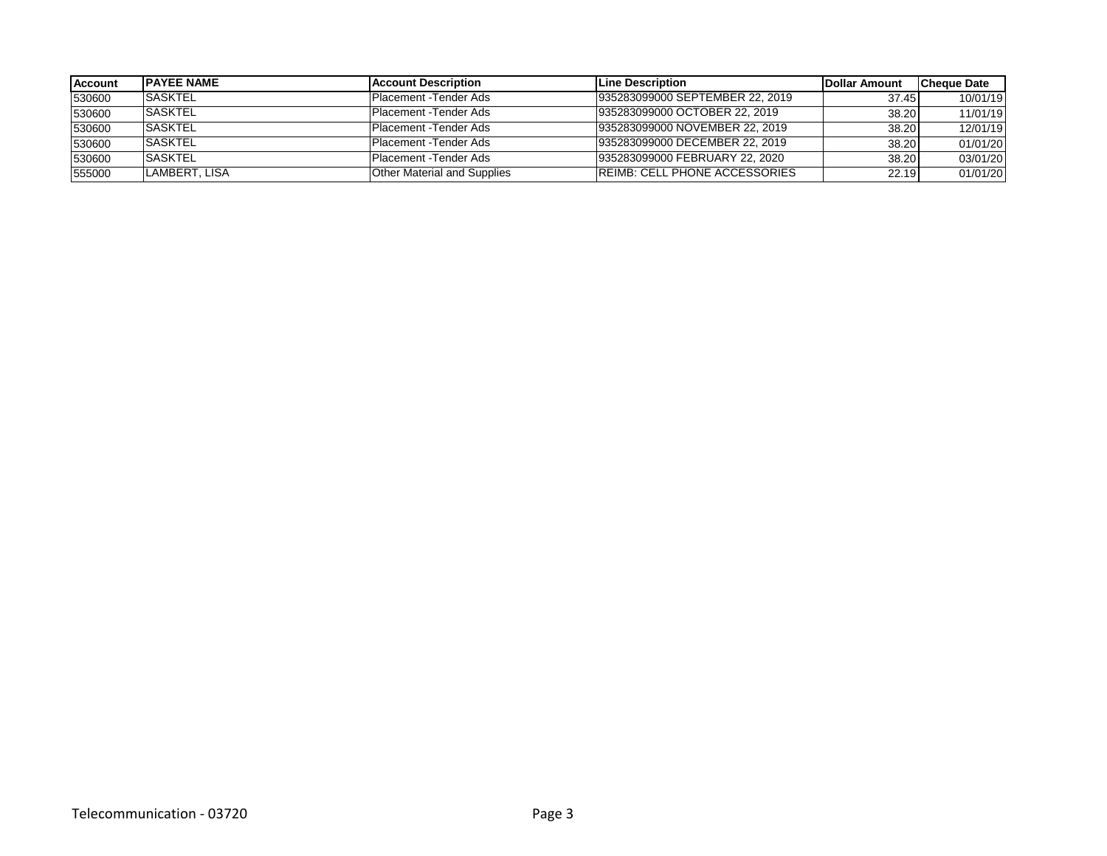| Account | <b>IPAYEE NAME</b> | <b>IAccount Description</b>        | <b>ILine Description</b>             | Dollar Amount | <b>Cheque Date</b> |
|---------|--------------------|------------------------------------|--------------------------------------|---------------|--------------------|
| 530600  | <b>SASKTEL</b>     | Placement - Tender Ads             | 935283099000 SEPTEMBER 22, 2019      | 37.45         | 10/01/19           |
| 530600  | <b>ISASKTEL</b>    | Placement -Tender Ads              | 935283099000 OCTOBER 22, 2019        | 38.20         | 11/01/19           |
| 530600  | <b>SASKTEL</b>     | Placement - Tender Ads             | 935283099000 NOVEMBER 22, 2019       | 38.20         | 12/01/19           |
| 530600  | <b>SASKTEL</b>     | Placement - Tender Ads             | 935283099000 DECEMBER 22, 2019       | 38.20         | 01/01/20           |
| 530600  | <b>SASKTEL</b>     | Placement - Tender Ads             | 935283099000 FEBRUARY 22, 2020       | 38.20         | 03/01/20           |
| 555000  | LAMBERT, LISA      | <b>Other Material and Supplies</b> | <b>REIMB: CELL PHONE ACCESSORIES</b> | 22.19         | 01/01/20           |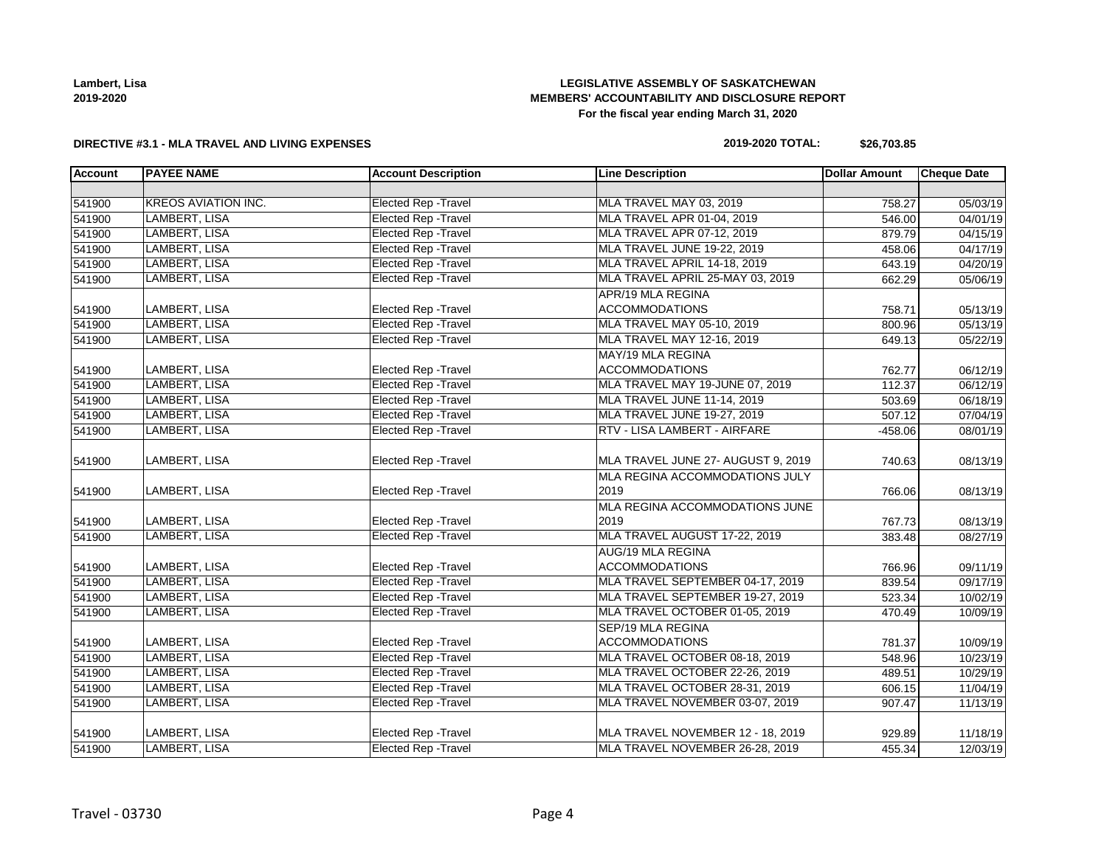| Lambert, Lisa |
|---------------|
| 2019-2020     |

### **LEGISLATIVE ASSEMBLY OF SASKATCHEWAN MEMBERS' ACCOUNTABILITY AND DISCLOSURE REPORT For the fiscal year ending March 31, 2020**

#### **DIRECTIVE #3.1 - MLA TRAVEL AND LIVING EXPENSES**

# **2019-2020 TOTAL: \$26,703.85**

| <b>Account</b> | <b>PAYEE NAME</b>          | <b>Account Description</b>  | <b>Line Description</b>                    | <b>Dollar Amount</b> | <b>Cheque Date</b> |
|----------------|----------------------------|-----------------------------|--------------------------------------------|----------------------|--------------------|
|                |                            |                             |                                            |                      |                    |
| 541900         | <b>KREOS AVIATION INC.</b> | <b>Elected Rep - Travel</b> | MLA TRAVEL MAY 03, 2019                    | 758.27               | 05/03/19           |
| 541900         | <b>LAMBERT, LISA</b>       | Elected Rep - Travel        | MLA TRAVEL APR 01-04, 2019                 | 546.00               | 04/01/19           |
| 541900         | LAMBERT, LISA              | Elected Rep - Travel        | MLA TRAVEL APR 07-12, 2019                 | 879.79               | 04/15/19           |
| 541900         | LAMBERT, LISA              | <b>Elected Rep - Travel</b> | MLA TRAVEL JUNE 19-22, 2019                | 458.06               | 04/17/19           |
| 541900         | LAMBERT, LISA              | <b>Elected Rep - Travel</b> | MLA TRAVEL APRIL 14-18, 2019               | 643.19               | 04/20/19           |
| 541900         | LAMBERT, LISA              | Elected Rep - Travel        | MLA TRAVEL APRIL 25-MAY 03, 2019           | 662.29               | 05/06/19           |
| 541900         | LAMBERT, LISA              | Elected Rep - Travel        | APR/19 MLA REGINA<br><b>ACCOMMODATIONS</b> | 758.71               | 05/13/19           |
| 541900         | LAMBERT, LISA              | <b>Elected Rep - Travel</b> | MLA TRAVEL MAY 05-10, 2019                 | 800.96               | 05/13/19           |
| 541900         | LAMBERT, LISA              | <b>Elected Rep - Travel</b> | MLA TRAVEL MAY 12-16, 2019                 | 649.13               | 05/22/19           |
|                |                            |                             | MAY/19 MLA REGINA                          |                      |                    |
| 541900         | LAMBERT, LISA              | Elected Rep - Travel        | <b>ACCOMMODATIONS</b>                      | 762.77               | 06/12/19           |
| 541900         | LAMBERT, LISA              | <b>Elected Rep - Travel</b> | MLA TRAVEL MAY 19-JUNE 07, 2019            | 112.37               | 06/12/19           |
| 541900         | LAMBERT, LISA              | <b>Elected Rep - Travel</b> | MLA TRAVEL JUNE 11-14, 2019                | 503.69               | 06/18/19           |
| 541900         | LAMBERT, LISA              | <b>Elected Rep - Travel</b> | MLA TRAVEL JUNE 19-27, 2019                | 507.12               | 07/04/19           |
| 541900         | LAMBERT, LISA              | <b>Elected Rep - Travel</b> | RTV - LISA LAMBERT - AIRFARE               | $-458.06$            | 08/01/19           |
|                |                            |                             |                                            |                      |                    |
| 541900         | LAMBERT, LISA              | Elected Rep - Travel        | MLA TRAVEL JUNE 27- AUGUST 9, 2019         | 740.63               | 08/13/19           |
|                |                            |                             | MLA REGINA ACCOMMODATIONS JULY             |                      |                    |
| 541900         | LAMBERT, LISA              | Elected Rep - Travel        | 2019                                       | 766.06               | 08/13/19           |
|                |                            |                             | MLA REGINA ACCOMMODATIONS JUNE             |                      |                    |
| 541900         | LAMBERT, LISA              | Elected Rep - Travel        | 2019                                       | 767.73               | 08/13/19           |
| 541900         | LAMBERT, LISA              | <b>Elected Rep - Travel</b> | MLA TRAVEL AUGUST 17-22, 2019              | 383.48               | 08/27/19           |
|                |                            |                             | AUG/19 MLA REGINA                          |                      |                    |
| 541900         | LAMBERT, LISA              | Elected Rep - Travel        | <b>ACCOMMODATIONS</b>                      | 766.96               | 09/11/19           |
| 541900         | <b>LAMBERT, LISA</b>       | <b>Elected Rep - Travel</b> | MLA TRAVEL SEPTEMBER 04-17, 2019           | 839.54               | 09/17/19           |
| 541900         | LAMBERT, LISA              | <b>Elected Rep - Travel</b> | MLA TRAVEL SEPTEMBER 19-27, 2019           | 523.34               | 10/02/19           |
| 541900         | LAMBERT, LISA              | <b>Elected Rep - Travel</b> | MLA TRAVEL OCTOBER 01-05, 2019             | 470.49               | 10/09/19           |
|                |                            |                             | <b>SEP/19 MLA REGINA</b>                   |                      |                    |
| 541900         | LAMBERT, LISA              | Elected Rep - Travel        | <b>ACCOMMODATIONS</b>                      | 781.37               | 10/09/19           |
| 541900         | LAMBERT, LISA              | <b>Elected Rep - Travel</b> | MLA TRAVEL OCTOBER 08-18, 2019             | 548.96               | 10/23/19           |
| 541900         | LAMBERT, LISA              | <b>Elected Rep - Travel</b> | MLA TRAVEL OCTOBER 22-26, 2019             | 489.51               | 10/29/19           |
| 541900         | LAMBERT, LISA              | <b>Elected Rep - Travel</b> | MLA TRAVEL OCTOBER 28-31, 2019             | 606.15               | 11/04/19           |
| 541900         | LAMBERT, LISA              | Elected Rep - Travel        | MLA TRAVEL NOVEMBER 03-07, 2019            | 907.47               | 11/13/19           |
| 541900         | LAMBERT, LISA              | <b>Elected Rep - Travel</b> | MLA TRAVEL NOVEMBER 12 - 18, 2019          | 929.89               | 11/18/19           |
| 541900         | LAMBERT, LISA              | <b>Elected Rep - Travel</b> | MLA TRAVEL NOVEMBER 26-28, 2019            | 455.34               | 12/03/19           |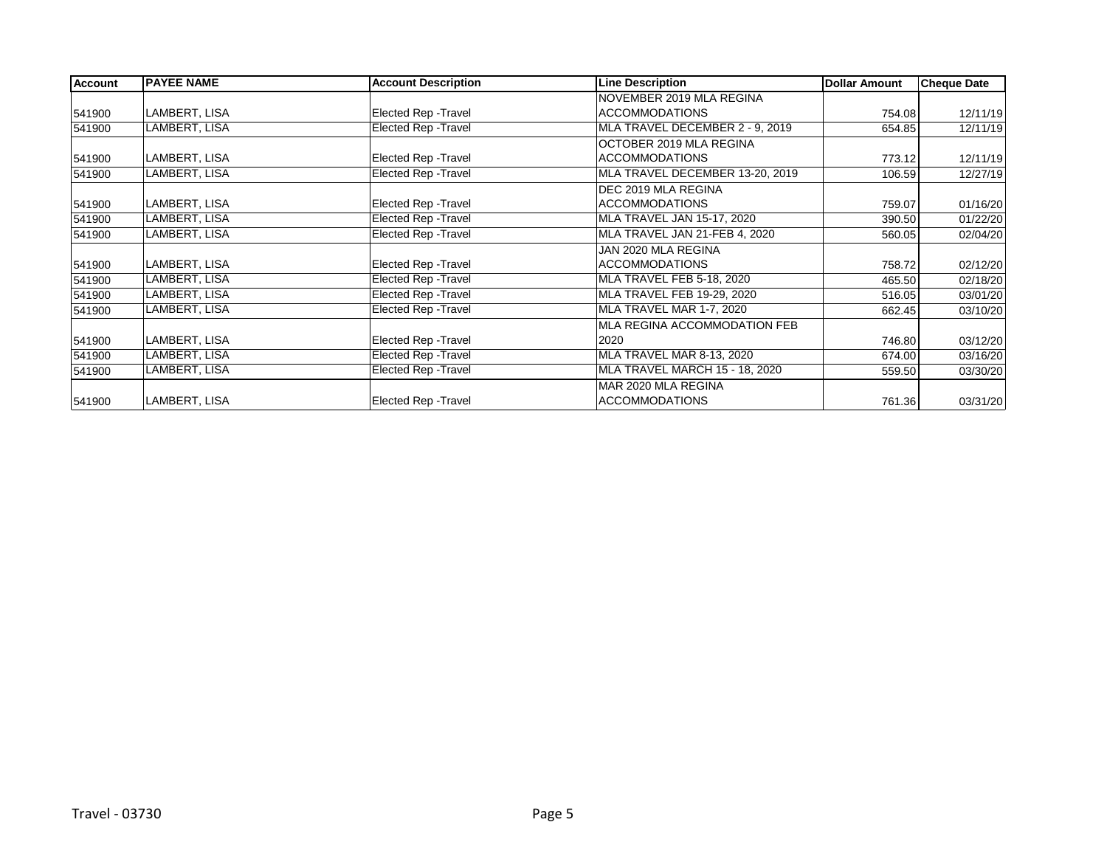| <b>Account</b> | <b>PAYEE NAME</b> | <b>Account Description</b>  | <b>Line Description</b>         | Dollar Amount | <b>Cheque Date</b> |
|----------------|-------------------|-----------------------------|---------------------------------|---------------|--------------------|
|                |                   |                             | NOVEMBER 2019 MLA REGINA        |               |                    |
| 541900         | LAMBERT, LISA     | Elected Rep - Travel        | <b>ACCOMMODATIONS</b>           | 754.08        | 12/11/19           |
| 541900         | LAMBERT, LISA     | Elected Rep - Travel        | MLA TRAVEL DECEMBER 2 - 9, 2019 | 654.85        | 12/11/19           |
|                |                   |                             | OCTOBER 2019 MLA REGINA         |               |                    |
| 541900         | LAMBERT, LISA     | Elected Rep - Travel        | <b>ACCOMMODATIONS</b>           | 773.12        | 12/11/19           |
| 541900         | LAMBERT, LISA     | Elected Rep - Travel        | MLA TRAVEL DECEMBER 13-20, 2019 | 106.59        | 12/27/19           |
|                |                   |                             | DEC 2019 MLA REGINA             |               |                    |
| 541900         | LAMBERT, LISA     | Elected Rep - Travel        | <b>ACCOMMODATIONS</b>           | 759.07        | 01/16/20           |
| 541900         | LAMBERT, LISA     | <b>Elected Rep - Travel</b> | MLA TRAVEL JAN 15-17, 2020      | 390.50        | 01/22/20           |
| 541900         | LAMBERT, LISA     | Elected Rep - Travel        | MLA TRAVEL JAN 21-FEB 4, 2020   | 560.05        | 02/04/20           |
|                |                   |                             | JAN 2020 MLA REGINA             |               |                    |
| 541900         | LAMBERT, LISA     | Elected Rep - Travel        | <b>ACCOMMODATIONS</b>           | 758.72        | 02/12/20           |
| 541900         | LAMBERT, LISA     | Elected Rep - Travel        | MLA TRAVEL FEB 5-18, 2020       | 465.50        | 02/18/20           |
| 541900         | LAMBERT, LISA     | Elected Rep - Travel        | MLA TRAVEL FEB 19-29, 2020      | 516.05        | 03/01/20           |
| 541900         | LAMBERT, LISA     | Elected Rep - Travel        | MLA TRAVEL MAR 1-7, 2020        | 662.45        | 03/10/20           |
|                |                   |                             | MLA REGINA ACCOMMODATION FEB    |               |                    |
| 541900         | LAMBERT, LISA     | Elected Rep - Travel        | 2020                            | 746.80        | 03/12/20           |
| 541900         | LAMBERT, LISA     | Elected Rep - Travel        | MLA TRAVEL MAR 8-13, 2020       | 674.00        | 03/16/20           |
| 541900         | LAMBERT, LISA     | Elected Rep - Travel        | MLA TRAVEL MARCH 15 - 18, 2020  | 559.50        | 03/30/20           |
|                |                   |                             | MAR 2020 MLA REGINA             |               |                    |
| 541900         | LAMBERT, LISA     | Elected Rep - Travel        | <b>ACCOMMODATIONS</b>           | 761.36        | 03/31/20           |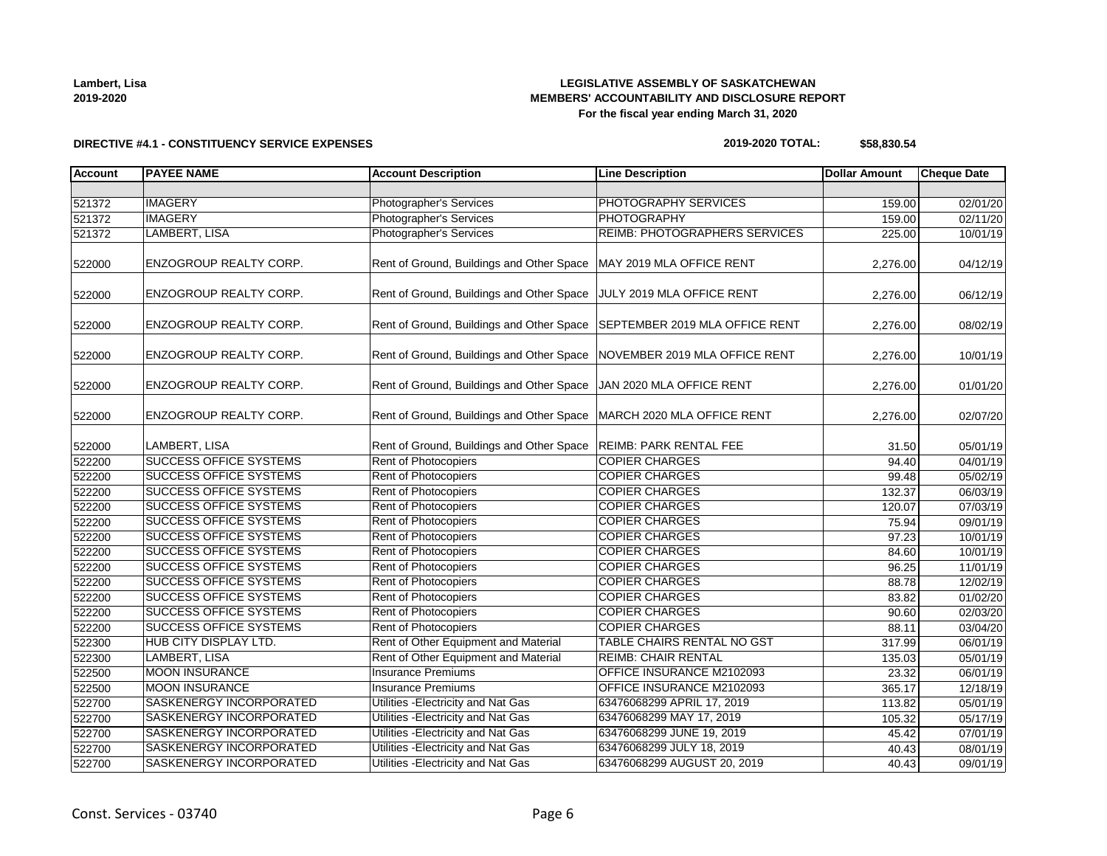| Lambert, Lisa |  |
|---------------|--|
| 2019-2020     |  |

### **LEGISLATIVE ASSEMBLY OF SASKATCHEWAN MEMBERS' ACCOUNTABILITY AND DISCLOSURE REPORT For the fiscal year ending March 31, 2020**

# **DIRECTIVE #4.1 - CONSTITUENCY SERVICE EXPENSES**

# **2019-2020 TOTAL: \$58,830.54**

| <b>Account</b> | <b>PAYEE NAME</b>              | <b>Account Description</b>                                                 | <b>Line Description</b>              | <b>Dollar Amount</b> | <b>Cheque Date</b> |
|----------------|--------------------------------|----------------------------------------------------------------------------|--------------------------------------|----------------------|--------------------|
|                |                                |                                                                            |                                      |                      |                    |
| 521372         | <b>IMAGERY</b>                 | <b>Photographer's Services</b>                                             | PHOTOGRAPHY SERVICES                 | 159.00               | 02/01/20           |
| 521372         | <b>IMAGERY</b>                 | <b>Photographer's Services</b>                                             | <b>PHOTOGRAPHY</b>                   | 159.00               | 02/11/20           |
| 521372         | LAMBERT, LISA                  | Photographer's Services                                                    | <b>REIMB: PHOTOGRAPHERS SERVICES</b> | 225.00               | 10/01/19           |
| 522000         | <b>ENZOGROUP REALTY CORP.</b>  | Rent of Ground, Buildings and Other Space   MAY 2019 MLA OFFICE RENT       |                                      | 2,276.00             | 04/12/19           |
| 522000         | <b>ENZOGROUP REALTY CORP.</b>  | Rent of Ground, Buildings and Other Space JULY 2019 MLA OFFICE RENT        |                                      | 2,276.00             | 06/12/19           |
| 522000         | <b>ENZOGROUP REALTY CORP.</b>  | Rent of Ground, Buildings and Other Space   SEPTEMBER 2019 MLA OFFICE RENT |                                      | 2,276.00             | 08/02/19           |
| 522000         | ENZOGROUP REALTY CORP.         | Rent of Ground, Buildings and Other Space NOVEMBER 2019 MLA OFFICE RENT    |                                      | 2,276.00             | 10/01/19           |
| 522000         | ENZOGROUP REALTY CORP.         | Rent of Ground, Buildings and Other Space JJAN 2020 MLA OFFICE RENT        |                                      | 2,276.00             | 01/01/20           |
| 522000         | ENZOGROUP REALTY CORP.         | Rent of Ground, Buildings and Other Space   MARCH 2020 MLA OFFICE RENT     |                                      | 2,276.00             | 02/07/20           |
| 522000         | LAMBERT, LISA                  | Rent of Ground, Buildings and Other Space                                  | <b>REIMB: PARK RENTAL FEE</b>        | 31.50                | 05/01/19           |
| 522200         | <b>SUCCESS OFFICE SYSTEMS</b>  | <b>Rent of Photocopiers</b>                                                | <b>COPIER CHARGES</b>                | 94.40                | 04/01/19           |
| 522200         | <b>SUCCESS OFFICE SYSTEMS</b>  | Rent of Photocopiers                                                       | <b>COPIER CHARGES</b>                | 99.48                | 05/02/19           |
| 522200         | <b>SUCCESS OFFICE SYSTEMS</b>  | Rent of Photocopiers                                                       | <b>COPIER CHARGES</b>                | 132.37               | 06/03/19           |
| 522200         | <b>SUCCESS OFFICE SYSTEMS</b>  | Rent of Photocopiers                                                       | <b>COPIER CHARGES</b>                | 120.07               | 07/03/19           |
| 522200         | <b>SUCCESS OFFICE SYSTEMS</b>  | Rent of Photocopiers                                                       | <b>COPIER CHARGES</b>                | 75.94                | 09/01/19           |
| 522200         | <b>SUCCESS OFFICE SYSTEMS</b>  | Rent of Photocopiers                                                       | <b>COPIER CHARGES</b>                | 97.23                | 10/01/19           |
| 522200         | <b>SUCCESS OFFICE SYSTEMS</b>  | Rent of Photocopiers                                                       | <b>COPIER CHARGES</b>                | 84.60                | 10/01/19           |
| 522200         | <b>SUCCESS OFFICE SYSTEMS</b>  | Rent of Photocopiers                                                       | <b>COPIER CHARGES</b>                | 96.25                | 11/01/19           |
| 522200         | <b>SUCCESS OFFICE SYSTEMS</b>  | Rent of Photocopiers                                                       | <b>COPIER CHARGES</b>                | 88.78                | 12/02/19           |
| 522200         | <b>SUCCESS OFFICE SYSTEMS</b>  | Rent of Photocopiers                                                       | <b>COPIER CHARGES</b>                | 83.82                | 01/02/20           |
| 522200         | <b>SUCCESS OFFICE SYSTEMS</b>  | Rent of Photocopiers                                                       | <b>COPIER CHARGES</b>                | 90.60                | 02/03/20           |
| 522200         | <b>SUCCESS OFFICE SYSTEMS</b>  | <b>Rent of Photocopiers</b>                                                | <b>COPIER CHARGES</b>                | 88.11                | 03/04/20           |
| 522300         | HUB CITY DISPLAY LTD.          | Rent of Other Equipment and Material                                       | TABLE CHAIRS RENTAL NO GST           | 317.99               | 06/01/19           |
| 522300         | LAMBERT, LISA                  | Rent of Other Equipment and Material                                       | <b>REIMB: CHAIR RENTAL</b>           | 135.03               | 05/01/19           |
| 522500         | <b>MOON INSURANCE</b>          | <b>Insurance Premiums</b>                                                  | OFFICE INSURANCE M2102093            | 23.32                | 06/01/19           |
| 522500         | <b>MOON INSURANCE</b>          | <b>Insurance Premiums</b>                                                  | OFFICE INSURANCE M2102093            | 365.17               | 12/18/19           |
| 522700         | <b>SASKENERGY INCORPORATED</b> | Utilities - Electricity and Nat Gas                                        | 63476068299 APRIL 17, 2019           | 113.82               | 05/01/19           |
| 522700         | <b>SASKENERGY INCORPORATED</b> | Utilities - Electricity and Nat Gas                                        | 63476068299 MAY 17, 2019             | 105.32               | 05/17/19           |
| 522700         | SASKENERGY INCORPORATED        | Utilities - Electricity and Nat Gas                                        | 63476068299 JUNE 19, 2019            | 45.42                | 07/01/19           |
| 522700         | <b>SASKENERGY INCORPORATED</b> | Utilities - Electricity and Nat Gas                                        | 63476068299 JULY 18, 2019            | 40.43                | 08/01/19           |
| 522700         | SASKENERGY INCORPORATED        | Utilities - Electricity and Nat Gas                                        | 63476068299 AUGUST 20, 2019          | 40.43                | 09/01/19           |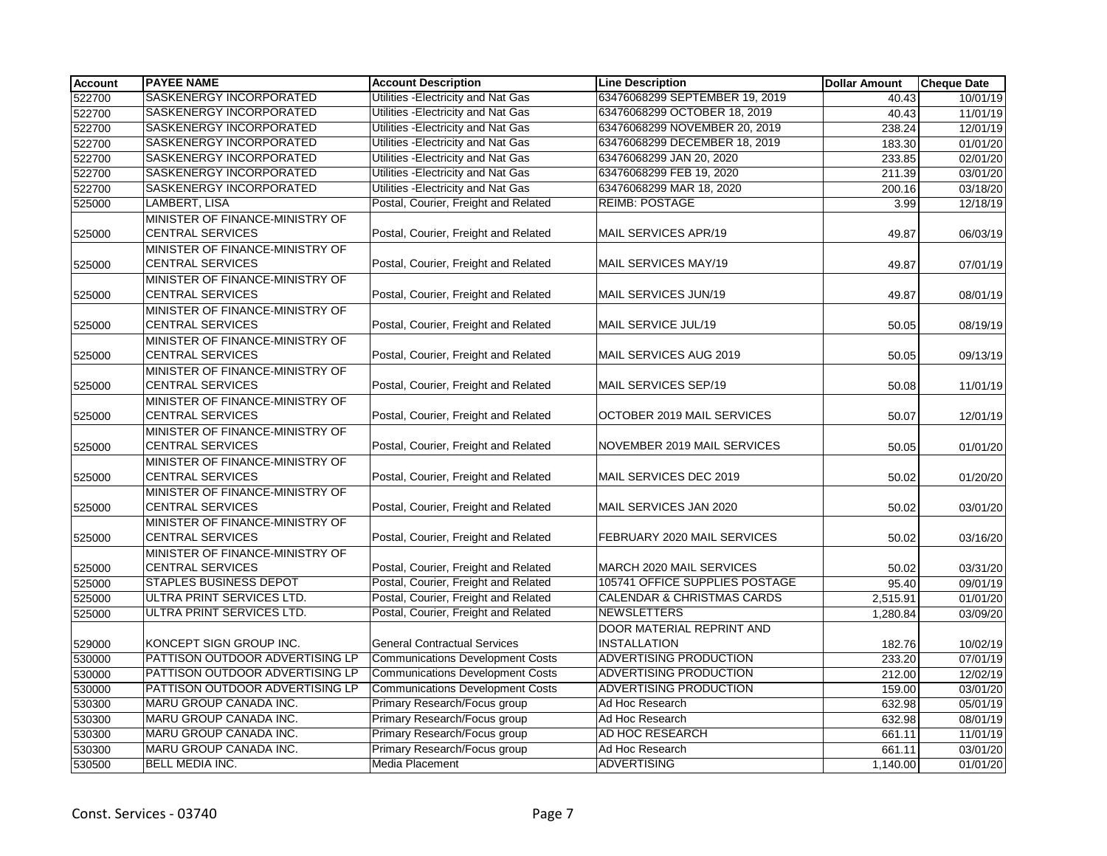| <b>Account</b> | <b>PAYEE NAME</b>                                          | <b>Account Description</b>              | <b>Line Description</b>                          | <b>Dollar Amount</b> | <b>Cheque Date</b> |
|----------------|------------------------------------------------------------|-----------------------------------------|--------------------------------------------------|----------------------|--------------------|
| 522700         | SASKENERGY INCORPORATED                                    | Utilities - Electricity and Nat Gas     | 63476068299 SEPTEMBER 19, 2019                   | 40.43                | 10/01/19           |
| 522700         | SASKENERGY INCORPORATED                                    | Utilities - Electricity and Nat Gas     | 63476068299 OCTOBER 18, 2019                     | 40.43                | 11/01/19           |
| 522700         | SASKENERGY INCORPORATED                                    | Utilities - Electricity and Nat Gas     | 63476068299 NOVEMBER 20, 2019                    | 238.24               | 12/01/19           |
| 522700         | SASKENERGY INCORPORATED                                    | Utilities - Electricity and Nat Gas     | 63476068299 DECEMBER 18, 2019                    | 183.30               | 01/01/20           |
| 522700         | SASKENERGY INCORPORATED                                    | Utilities - Electricity and Nat Gas     | 63476068299 JAN 20, 2020                         | 233.85               | 02/01/20           |
| 522700         | SASKENERGY INCORPORATED                                    | Utilities - Electricity and Nat Gas     | 63476068299 FEB 19, 2020                         | 211.39               | 03/01/20           |
| 522700         | SASKENERGY INCORPORATED                                    | Utilities - Electricity and Nat Gas     | 63476068299 MAR 18, 2020                         | 200.16               | 03/18/20           |
| 525000         | LAMBERT, LISA                                              | Postal, Courier, Freight and Related    | <b>REIMB: POSTAGE</b>                            | 3.99                 | 12/18/19           |
| 525000         | MINISTER OF FINANCE-MINISTRY OF<br><b>CENTRAL SERVICES</b> | Postal, Courier, Freight and Related    | MAIL SERVICES APR/19                             | 49.87                | 06/03/19           |
| 525000         | MINISTER OF FINANCE-MINISTRY OF<br><b>CENTRAL SERVICES</b> | Postal, Courier, Freight and Related    | MAIL SERVICES MAY/19                             | 49.87                | 07/01/19           |
| 525000         | MINISTER OF FINANCE-MINISTRY OF<br><b>CENTRAL SERVICES</b> | Postal, Courier, Freight and Related    | MAIL SERVICES JUN/19                             | 49.87                | 08/01/19           |
| 525000         | MINISTER OF FINANCE-MINISTRY OF<br><b>CENTRAL SERVICES</b> | Postal, Courier, Freight and Related    | MAIL SERVICE JUL/19                              | 50.05                | 08/19/19           |
| 525000         | MINISTER OF FINANCE-MINISTRY OF<br><b>CENTRAL SERVICES</b> | Postal, Courier, Freight and Related    | MAIL SERVICES AUG 2019                           | 50.05                | 09/13/19           |
| 525000         | MINISTER OF FINANCE-MINISTRY OF<br><b>CENTRAL SERVICES</b> | Postal, Courier, Freight and Related    | MAIL SERVICES SEP/19                             | 50.08                | 11/01/19           |
| 525000         | MINISTER OF FINANCE-MINISTRY OF<br><b>CENTRAL SERVICES</b> | Postal, Courier, Freight and Related    | OCTOBER 2019 MAIL SERVICES                       | 50.07                | 12/01/19           |
| 525000         | MINISTER OF FINANCE-MINISTRY OF<br><b>CENTRAL SERVICES</b> | Postal, Courier, Freight and Related    | NOVEMBER 2019 MAIL SERVICES                      | 50.05                | 01/01/20           |
| 525000         | MINISTER OF FINANCE-MINISTRY OF<br><b>CENTRAL SERVICES</b> | Postal, Courier, Freight and Related    | MAIL SERVICES DEC 2019                           | 50.02                | 01/20/20           |
| 525000         | MINISTER OF FINANCE-MINISTRY OF<br><b>CENTRAL SERVICES</b> | Postal, Courier, Freight and Related    | MAIL SERVICES JAN 2020                           | 50.02                | 03/01/20           |
| 525000         | MINISTER OF FINANCE-MINISTRY OF<br><b>CENTRAL SERVICES</b> | Postal, Courier, Freight and Related    | FEBRUARY 2020 MAIL SERVICES                      | 50.02                | 03/16/20           |
| 525000         | MINISTER OF FINANCE-MINISTRY OF<br><b>CENTRAL SERVICES</b> | Postal, Courier, Freight and Related    | MARCH 2020 MAIL SERVICES                         | 50.02                | 03/31/20           |
| 525000         | <b>STAPLES BUSINESS DEPOT</b>                              | Postal, Courier, Freight and Related    | 105741 OFFICE SUPPLIES POSTAGE                   | 95.40                | 09/01/19           |
| 525000         | ULTRA PRINT SERVICES LTD.                                  | Postal, Courier, Freight and Related    | <b>CALENDAR &amp; CHRISTMAS CARDS</b>            | 2,515.91             | 01/01/20           |
| 525000         | ULTRA PRINT SERVICES LTD.                                  | Postal, Courier, Freight and Related    | <b>NEWSLETTERS</b>                               | 1,280.84             | 03/09/20           |
| 529000         | KONCEPT SIGN GROUP INC.                                    | <b>General Contractual Services</b>     | DOOR MATERIAL REPRINT AND<br><b>INSTALLATION</b> | 182.76               | 10/02/19           |
| 530000         | PATTISON OUTDOOR ADVERTISING LP                            | <b>Communications Development Costs</b> | ADVERTISING PRODUCTION                           | 233.20               | 07/01/19           |
| 530000         | PATTISON OUTDOOR ADVERTISING LP                            | <b>Communications Development Costs</b> | ADVERTISING PRODUCTION                           | 212.00               | 12/02/19           |
| 530000         | PATTISON OUTDOOR ADVERTISING LP                            | Communications Development Costs        | <b>ADVERTISING PRODUCTION</b>                    | 159.00               | 03/01/20           |
| 530300         | MARU GROUP CANADA INC.                                     | Primary Research/Focus group            | Ad Hoc Research                                  | 632.98               | 05/01/19           |
| 530300         | MARU GROUP CANADA INC.                                     | Primary Research/Focus group            | Ad Hoc Research                                  | 632.98               | 08/01/19           |
| 530300         | MARU GROUP CANADA INC.                                     | Primary Research/Focus group            | AD HOC RESEARCH                                  | 661.11               | 11/01/19           |
| 530300         | MARU GROUP CANADA INC.                                     | Primary Research/Focus group            | Ad Hoc Research                                  | 661.11               | 03/01/20           |
| 530500         | <b>BELL MEDIA INC.</b>                                     | Media Placement                         | <b>ADVERTISING</b>                               | 1,140.00             | 01/01/20           |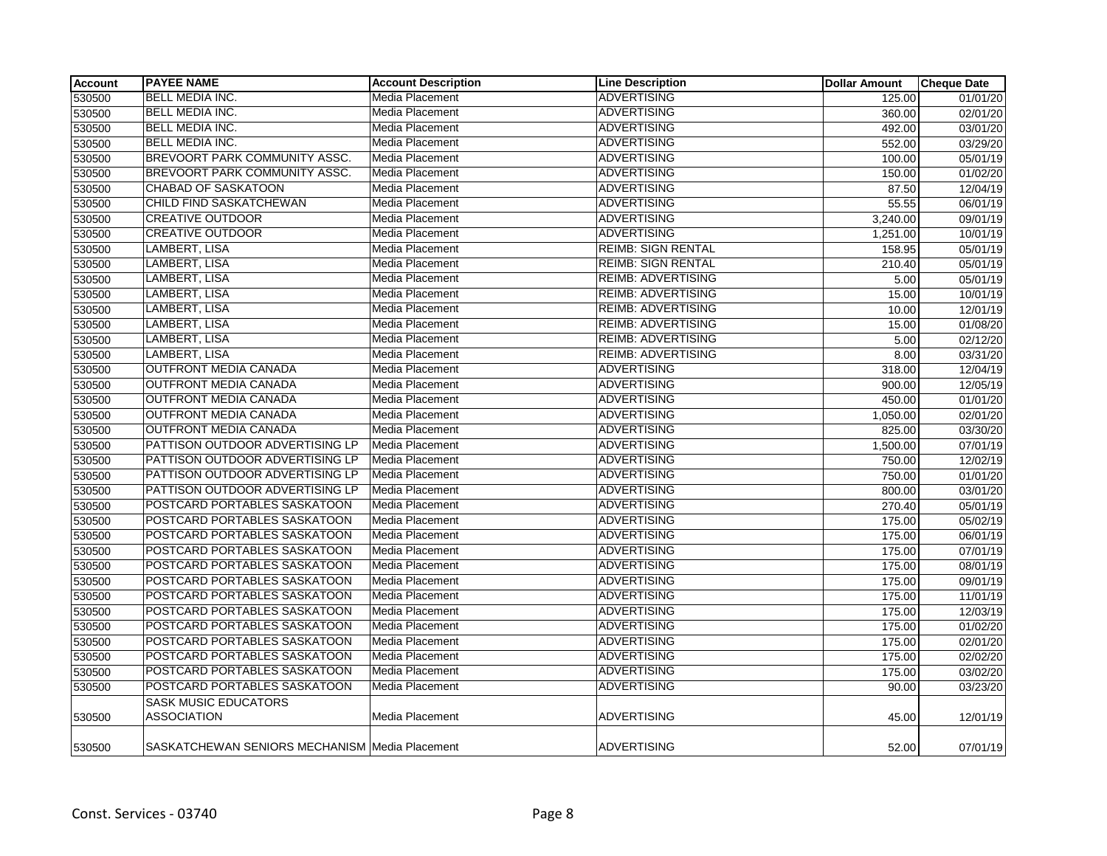| <b>Account</b> | <b>PAYEE NAME</b>                              | <b>Account Description</b> | <b>Line Description</b>   | <b>Dollar Amount</b> | <b>Cheque Date</b> |
|----------------|------------------------------------------------|----------------------------|---------------------------|----------------------|--------------------|
| 530500         | <b>BELL MEDIA INC.</b>                         | Media Placement            | <b>ADVERTISING</b>        | 125.00               | 01/01/20           |
| 530500         | <b>BELL MEDIA INC.</b>                         | <b>Media Placement</b>     | <b>ADVERTISING</b>        | 360.00               | 02/01/20           |
| 530500         | BELL MEDIA INC.                                | Media Placement            | <b>ADVERTISING</b>        | 492.00               | 03/01/20           |
| 530500         | <b>BELL MEDIA INC.</b>                         | Media Placement            | <b>ADVERTISING</b>        | 552.00               | 03/29/20           |
| 530500         | BREVOORT PARK COMMUNITY ASSC.                  | Media Placement            | <b>ADVERTISING</b>        | 100.00               | 05/01/19           |
| 530500         | BREVOORT PARK COMMUNITY ASSC.                  | Media Placement            | <b>ADVERTISING</b>        | 150.00               | 01/02/20           |
| 530500         | <b>CHABAD OF SASKATOON</b>                     | Media Placement            | <b>ADVERTISING</b>        | 87.50                | 12/04/19           |
| 530500         | CHILD FIND SASKATCHEWAN                        | Media Placement            | <b>ADVERTISING</b>        | 55.55                | 06/01/19           |
| 530500         | <b>CREATIVE OUTDOOR</b>                        | Media Placement            | <b>ADVERTISING</b>        | 3,240.00             | 09/01/19           |
| 530500         | <b>CREATIVE OUTDOOR</b>                        | Media Placement            | <b>ADVERTISING</b>        | 1,251.00             | 10/01/19           |
| 530500         | <b>LAMBERT, LISA</b>                           | Media Placement            | <b>REIMB: SIGN RENTAL</b> | 158.95               | 05/01/19           |
| 530500         | LAMBERT, LISA                                  | Media Placement            | <b>REIMB: SIGN RENTAL</b> | 210.40               | 05/01/19           |
| 530500         | LAMBERT, LISA                                  | Media Placement            | <b>REIMB: ADVERTISING</b> | 5.00                 | 05/01/19           |
| 530500         | LAMBERT, LISA                                  | <b>Media Placement</b>     | <b>REIMB: ADVERTISING</b> | 15.00                | 10/01/19           |
| 530500         | LAMBERT, LISA                                  | Media Placement            | <b>REIMB: ADVERTISING</b> | 10.00                | 12/01/19           |
| 530500         | <b>LAMBERT, LISA</b>                           | Media Placement            | <b>REIMB: ADVERTISING</b> | 15.00                | 01/08/20           |
| 530500         | <b>LAMBERT, LISA</b>                           | Media Placement            | <b>REIMB: ADVERTISING</b> | 5.00                 | 02/12/20           |
| 530500         | LAMBERT, LISA                                  | Media Placement            | <b>REIMB: ADVERTISING</b> | 8.00                 | 03/31/20           |
| 530500         | <b>OUTFRONT MEDIA CANADA</b>                   | Media Placement            | <b>ADVERTISING</b>        | 318.00               | 12/04/19           |
| 530500         | OUTFRONT MEDIA CANADA                          | Media Placement            | <b>ADVERTISING</b>        | 900.00               | 12/05/19           |
| 530500         | OUTFRONT MEDIA CANADA                          | Media Placement            | <b>ADVERTISING</b>        | 450.00               | 01/01/20           |
| 530500         | <b>OUTFRONT MEDIA CANADA</b>                   | Media Placement            | <b>ADVERTISING</b>        | 1,050.00             | 02/01/20           |
| 530500         | <b>OUTFRONT MEDIA CANADA</b>                   | Media Placement            | <b>ADVERTISING</b>        | 825.00               | 03/30/20           |
| 530500         | PATTISON OUTDOOR ADVERTISING LP                | <b>Media Placement</b>     | <b>ADVERTISING</b>        | 1,500.00             | 07/01/19           |
| 530500         | PATTISON OUTDOOR ADVERTISING LP                | Media Placement            | <b>ADVERTISING</b>        | 750.00               | 12/02/19           |
| 530500         | PATTISON OUTDOOR ADVERTISING LP                | Media Placement            | <b>ADVERTISING</b>        | 750.00               | 01/01/20           |
| 530500         | PATTISON OUTDOOR ADVERTISING LP                | Media Placement            | <b>ADVERTISING</b>        | 800.00               | 03/01/20           |
| 530500         | POSTCARD PORTABLES SASKATOON                   | Media Placement            | <b>ADVERTISING</b>        | 270.40               | 05/01/19           |
| 530500         | POSTCARD PORTABLES SASKATOON                   | Media Placement            | <b>ADVERTISING</b>        | 175.00               | 05/02/19           |
| 530500         | POSTCARD PORTABLES SASKATOON                   | Media Placement            | <b>ADVERTISING</b>        | 175.00               | 06/01/19           |
| 530500         | POSTCARD PORTABLES SASKATOON                   | Media Placement            | <b>ADVERTISING</b>        | 175.00               | 07/01/19           |
| 530500         | POSTCARD PORTABLES SASKATOON                   | Media Placement            | <b>ADVERTISING</b>        | 175.00               | 08/01/19           |
| 530500         | POSTCARD PORTABLES SASKATOON                   | Media Placement            | <b>ADVERTISING</b>        | 175.00               | 09/01/19           |
| 530500         | POSTCARD PORTABLES SASKATOON                   | Media Placement            | <b>ADVERTISING</b>        | 175.00               | 11/01/19           |
| 530500         | POSTCARD PORTABLES SASKATOON                   | Media Placement            | <b>ADVERTISING</b>        | 175.00               | 12/03/19           |
| 530500         | POSTCARD PORTABLES SASKATOON                   | Media Placement            | <b>ADVERTISING</b>        | 175.00               | 01/02/20           |
| 530500         | POSTCARD PORTABLES SASKATOON                   | Media Placement            | <b>ADVERTISING</b>        | 175.00               | 02/01/20           |
| 530500         | POSTCARD PORTABLES SASKATOON                   | Media Placement            | <b>ADVERTISING</b>        | 175.00               | 02/02/20           |
| 530500         | POSTCARD PORTABLES SASKATOON                   | Media Placement            | <b>ADVERTISING</b>        | 175.00               | 03/02/20           |
| 530500         | POSTCARD PORTABLES SASKATOON                   | Media Placement            | <b>ADVERTISING</b>        | 90.00                | 03/23/20           |
|                | <b>SASK MUSIC EDUCATORS</b>                    |                            |                           |                      |                    |
| 530500         | <b>ASSOCIATION</b>                             | Media Placement            | <b>ADVERTISING</b>        | 45.00                | 12/01/19           |
| 530500         | SASKATCHEWAN SENIORS MECHANISM Media Placement |                            | ADVERTISING               | 52.00                | 07/01/19           |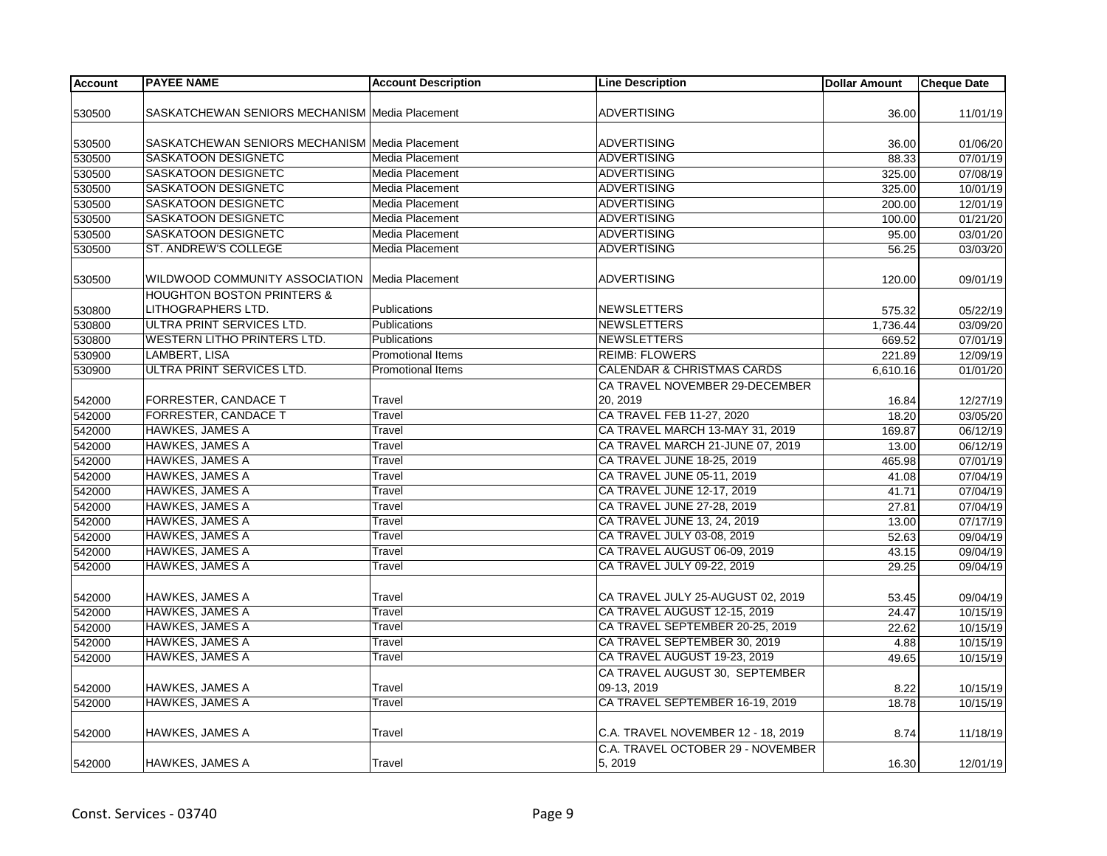| <b>Account</b> | <b>PAYEE NAME</b>                                | <b>Account Description</b> | <b>Line Description</b>               | <b>Dollar Amount</b> | <b>Cheque Date</b>    |
|----------------|--------------------------------------------------|----------------------------|---------------------------------------|----------------------|-----------------------|
|                |                                                  |                            |                                       |                      |                       |
| 530500         | SASKATCHEWAN SENIORS MECHANISM Media Placement   |                            | <b>ADVERTISING</b>                    | 36.00                | 11/01/19              |
|                |                                                  |                            |                                       |                      |                       |
| 530500         | SASKATCHEWAN SENIORS MECHANISM Media Placement   |                            | <b>ADVERTISING</b>                    | 36.00                | 01/06/20              |
| 530500         | SASKATOON DESIGNETC                              | Media Placement            | <b>ADVERTISING</b>                    | 88.33                | 07/01/19              |
| 530500         | SASKATOON DESIGNETC                              | <b>Media Placement</b>     | <b>ADVERTISING</b>                    | 325.00               | 07/08/19              |
| 530500         | SASKATOON DESIGNETC                              | <b>Media Placement</b>     | <b>ADVERTISING</b>                    | 325.00               | 10/01/19              |
| 530500         | SASKATOON DESIGNETC                              | <b>Media Placement</b>     | <b>ADVERTISING</b>                    | 200.00               | 12/01/19              |
| 530500         | SASKATOON DESIGNETC                              | Media Placement            | ADVERTISING                           | 100.00               | 01/21/20              |
| 530500         | SASKATOON DESIGNETC                              | Media Placement            | <b>ADVERTISING</b>                    | 95.00                | 03/01/20              |
| 530500         | ST. ANDREW'S COLLEGE                             | <b>Media Placement</b>     | <b>ADVERTISING</b>                    | 56.25                | 03/03/20              |
|                |                                                  |                            |                                       |                      |                       |
| 530500         | WILDWOOD COMMUNITY ASSOCIATION   Media Placement |                            | <b>ADVERTISING</b>                    | 120.00               | 09/01/19              |
|                | <b>HOUGHTON BOSTON PRINTERS &amp;</b>            |                            |                                       |                      |                       |
| 530800         | LITHOGRAPHERS LTD.                               | Publications               | NEWSLETTERS                           | 575.32               | 05/22/19              |
| 530800         | ULTRA PRINT SERVICES LTD.                        | Publications               | <b>NEWSLETTERS</b>                    | 1,736.44             | 03/09/20              |
| 530800         | WESTERN LITHO PRINTERS LTD.                      | Publications               | NEWSLETTERS                           | 669.52               | 07/01/19              |
| 530900         | LAMBERT, LISA                                    | Promotional Items          | <b>REIMB: FLOWERS</b>                 | 221.89               | 12/09/19              |
| 530900         | <b>ULTRA PRINT SERVICES LTD.</b>                 | <b>Promotional Items</b>   | <b>CALENDAR &amp; CHRISTMAS CARDS</b> | 6,610.16             | 01/01/20              |
|                |                                                  |                            | CA TRAVEL NOVEMBER 29-DECEMBER        |                      |                       |
| 542000         | FORRESTER, CANDACE T                             | Travel                     | 20.2019                               | 16.84                | 12/27/19              |
| 542000         | <b>FORRESTER, CANDACE T</b>                      | Travel                     | CA TRAVEL FEB 11-27, 2020             | 18.20                | 03/05/20              |
| 542000         | <b>HAWKES, JAMES A</b>                           | Travel                     | CA TRAVEL MARCH 13-MAY 31, 2019       | 169.87               | 06/12/19              |
| 542000         | <b>HAWKES, JAMES A</b>                           | Travel                     | CA TRAVEL MARCH 21-JUNE 07, 2019      | 13.00                | 06/12/19              |
| 542000         | HAWKES, JAMES A                                  | Travel                     | CA TRAVEL JUNE 18-25, 2019            | 465.98               | 07/01/19              |
| 542000         | <b>HAWKES, JAMES A</b>                           | Travel                     | CA TRAVEL JUNE 05-11, 2019            | 41.08                | 07/04/19              |
| 542000         | <b>HAWKES, JAMES A</b>                           | Travel                     | CA TRAVEL JUNE 12-17, 2019            | 41.71                | $\overline{07/04/19}$ |
| 542000         | <b>HAWKES, JAMES A</b>                           | Travel                     | CA TRAVEL JUNE 27-28, 2019            | 27.81                | 07/04/19              |
| 542000         | <b>HAWKES, JAMES A</b>                           | Travel                     | CA TRAVEL JUNE 13, 24, 2019           | 13.00                | 07/17/19              |
| 542000         | <b>HAWKES, JAMES A</b>                           | Travel                     | CA TRAVEL JULY 03-08, 2019            | 52.63                | 09/04/19              |
| 542000         | <b>HAWKES, JAMES A</b>                           | Travel                     | CA TRAVEL AUGUST 06-09, 2019          | 43.15                | 09/04/19              |
| 542000         | <b>HAWKES, JAMES A</b>                           | Travel                     | CA TRAVEL JULY 09-22, 2019            | 29.25                | 09/04/19              |
|                |                                                  |                            |                                       |                      |                       |
| 542000         | <b>HAWKES, JAMES A</b>                           | Travel                     | CA TRAVEL JULY 25-AUGUST 02, 2019     | 53.45                | 09/04/19              |
| 542000         | <b>HAWKES, JAMES A</b>                           | Travel                     | CA TRAVEL AUGUST 12-15, 2019          | 24.47                | 10/15/19              |
| 542000         | HAWKES, JAMES A                                  | Travel                     | CA TRAVEL SEPTEMBER 20-25, 2019       | 22.62                | 10/15/19              |
| 542000         | <b>HAWKES, JAMES A</b>                           | Travel                     | CA TRAVEL SEPTEMBER 30, 2019          | 4.88                 | 10/15/19              |
| 542000         | <b>HAWKES, JAMES A</b>                           | Travel                     | CA TRAVEL AUGUST 19-23, 2019          | 49.65                | 10/15/19              |
|                |                                                  |                            | CA TRAVEL AUGUST 30, SEPTEMBER        |                      |                       |
| 542000         | <b>HAWKES, JAMES A</b>                           | Travel                     | 09-13, 2019                           | 8.22                 | 10/15/19              |
| 542000         | <b>HAWKES, JAMES A</b>                           | Travel                     | CA TRAVEL SEPTEMBER 16-19, 2019       | 18.78                | 10/15/19              |
|                |                                                  |                            |                                       |                      |                       |
| 542000         | HAWKES, JAMES A                                  | Travel                     | C.A. TRAVEL NOVEMBER 12 - 18, 2019    | 8.74                 | 11/18/19              |
|                |                                                  |                            | C.A. TRAVEL OCTOBER 29 - NOVEMBER     |                      |                       |
| 542000         | <b>HAWKES, JAMES A</b>                           | Travel                     | 5, 2019                               | 16.30                | 12/01/19              |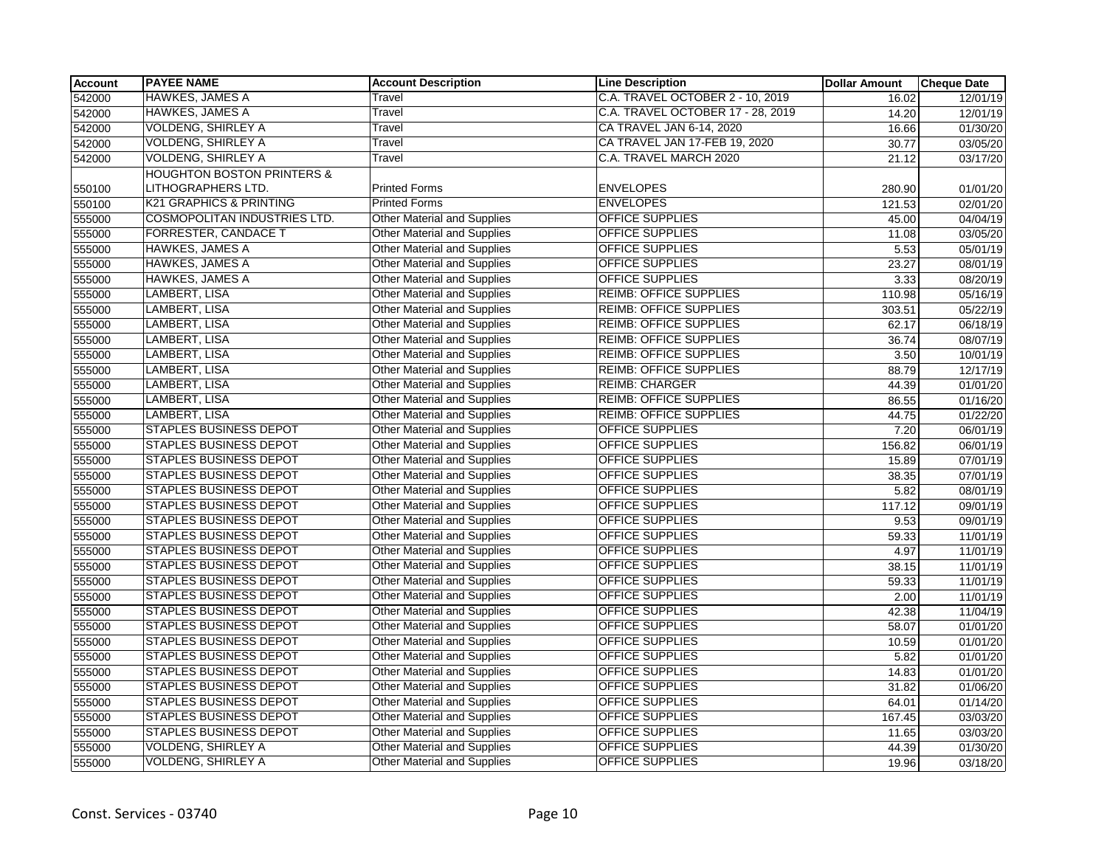| <b>Account</b> | <b>PAYEE NAME</b>                     | <b>Account Description</b>         | <b>Line Description</b>           | <b>Dollar Amount</b> | <b>Cheque Date</b> |
|----------------|---------------------------------------|------------------------------------|-----------------------------------|----------------------|--------------------|
| 542000         | <b>HAWKES, JAMES A</b>                | Travel                             | C.A. TRAVEL OCTOBER 2 - 10, 2019  | 16.02                | 12/01/19           |
| 542000         | <b>HAWKES, JAMES A</b>                | Travel                             | C.A. TRAVEL OCTOBER 17 - 28, 2019 | 14.20                | 12/01/19           |
| 542000         | <b>VOLDENG, SHIRLEY A</b>             | Travel                             | CA TRAVEL JAN 6-14, 2020          | 16.66                | 01/30/20           |
| 542000         | <b>VOLDENG, SHIRLEY A</b>             | Travel                             | CA TRAVEL JAN 17-FEB 19, 2020     | 30.77                | 03/05/20           |
| 542000         | <b>VOLDENG, SHIRLEY A</b>             | Travel                             | C.A. TRAVEL MARCH 2020            | 21.12                | 03/17/20           |
|                | <b>HOUGHTON BOSTON PRINTERS &amp;</b> |                                    |                                   |                      |                    |
| 550100         | LITHOGRAPHERS LTD.                    | <b>Printed Forms</b>               | <b>ENVELOPES</b>                  | 280.90               | 01/01/20           |
| 550100         | <b>K21 GRAPHICS &amp; PRINTING</b>    | <b>Printed Forms</b>               | <b>ENVELOPES</b>                  | 121.53               | 02/01/20           |
| 555000         | <b>COSMOPOLITAN INDUSTRIES LTD.</b>   | <b>Other Material and Supplies</b> | <b>OFFICE SUPPLIES</b>            | 45.00                | 04/04/19           |
| 555000         | <b>FORRESTER, CANDACE T</b>           | <b>Other Material and Supplies</b> | <b>OFFICE SUPPLIES</b>            | 11.08                | 03/05/20           |
| 555000         | <b>HAWKES, JAMES A</b>                | <b>Other Material and Supplies</b> | <b>OFFICE SUPPLIES</b>            | 5.53                 | 05/01/19           |
| 555000         | <b>HAWKES, JAMES A</b>                | <b>Other Material and Supplies</b> | OFFICE SUPPLIES                   | 23.27                | 08/01/19           |
| 555000         | <b>HAWKES, JAMES A</b>                | <b>Other Material and Supplies</b> | <b>OFFICE SUPPLIES</b>            | 3.33                 | 08/20/19           |
| 555000         | <b>LAMBERT, LISA</b>                  | <b>Other Material and Supplies</b> | <b>REIMB: OFFICE SUPPLIES</b>     | 110.98               | 05/16/19           |
| 555000         | <b>LAMBERT, LISA</b>                  | <b>Other Material and Supplies</b> | <b>REIMB: OFFICE SUPPLIES</b>     | 303.51               | 05/22/19           |
| 555000         | <b>LAMBERT, LISA</b>                  | <b>Other Material and Supplies</b> | <b>REIMB: OFFICE SUPPLIES</b>     | 62.17                | 06/18/19           |
| 555000         | LAMBERT, LISA                         | Other Material and Supplies        | <b>REIMB: OFFICE SUPPLIES</b>     | 36.74                | 08/07/19           |
| 555000         | LAMBERT, LISA                         | <b>Other Material and Supplies</b> | <b>REIMB: OFFICE SUPPLIES</b>     | 3.50                 | 10/01/19           |
| 555000         | <b>LAMBERT, LISA</b>                  | <b>Other Material and Supplies</b> | <b>REIMB: OFFICE SUPPLIES</b>     | 88.79                | 12/17/19           |
| 555000         | LAMBERT, LISA                         | <b>Other Material and Supplies</b> | <b>REIMB: CHARGER</b>             | 44.39                | 01/01/20           |
| 555000         | <b>LAMBERT, LISA</b>                  | <b>Other Material and Supplies</b> | <b>REIMB: OFFICE SUPPLIES</b>     | 86.55                | 01/16/20           |
| 555000         | LAMBERT, LISA                         | Other Material and Supplies        | <b>REIMB: OFFICE SUPPLIES</b>     | 44.75                | 01/22/20           |
| 555000         | <b>STAPLES BUSINESS DEPOT</b>         | <b>Other Material and Supplies</b> | <b>OFFICE SUPPLIES</b>            | 7.20                 | 06/01/19           |
| 555000         | <b>STAPLES BUSINESS DEPOT</b>         | <b>Other Material and Supplies</b> | <b>OFFICE SUPPLIES</b>            | 156.82               | 06/01/19           |
| 555000         | <b>STAPLES BUSINESS DEPOT</b>         | Other Material and Supplies        | <b>OFFICE SUPPLIES</b>            | 15.89                | 07/01/19           |
| 555000         | <b>STAPLES BUSINESS DEPOT</b>         | <b>Other Material and Supplies</b> | <b>OFFICE SUPPLIES</b>            | 38.35                | 07/01/19           |
| 555000         | <b>STAPLES BUSINESS DEPOT</b>         | <b>Other Material and Supplies</b> | <b>OFFICE SUPPLIES</b>            | 5.82                 | 08/01/19           |
| 555000         | STAPLES BUSINESS DEPOT                | Other Material and Supplies        | OFFICE SUPPLIES                   | 117.12               | 09/01/19           |
| 555000         | <b>STAPLES BUSINESS DEPOT</b>         | <b>Other Material and Supplies</b> | OFFICE SUPPLIES                   | 9.53                 | 09/01/19           |
| 555000         | <b>STAPLES BUSINESS DEPOT</b>         | <b>Other Material and Supplies</b> | <b>OFFICE SUPPLIES</b>            | 59.33                | 11/01/19           |
| 555000         | <b>STAPLES BUSINESS DEPOT</b>         | <b>Other Material and Supplies</b> | <b>OFFICE SUPPLIES</b>            | 4.97                 | 11/01/19           |
| 555000         | <b>STAPLES BUSINESS DEPOT</b>         | <b>Other Material and Supplies</b> | <b>OFFICE SUPPLIES</b>            | 38.15                | 11/01/19           |
| 555000         | <b>STAPLES BUSINESS DEPOT</b>         | <b>Other Material and Supplies</b> | <b>OFFICE SUPPLIES</b>            | 59.33                | 11/01/19           |
| 555000         | STAPLES BUSINESS DEPOT                | <b>Other Material and Supplies</b> | OFFICE SUPPLIES                   | 2.00                 | 11/01/19           |
| 555000         | <b>STAPLES BUSINESS DEPOT</b>         | <b>Other Material and Supplies</b> | <b>OFFICE SUPPLIES</b>            | 42.38                | 11/04/19           |
| 555000         | <b>STAPLES BUSINESS DEPOT</b>         | Other Material and Supplies        | OFFICE SUPPLIES                   | 58.07                | 01/01/20           |
| 555000         | <b>STAPLES BUSINESS DEPOT</b>         | <b>Other Material and Supplies</b> | <b>OFFICE SUPPLIES</b>            | 10.59                | 01/01/20           |
| 555000         | <b>STAPLES BUSINESS DEPOT</b>         | <b>Other Material and Supplies</b> | OFFICE SUPPLIES                   | 5.82                 | 01/01/20           |
| 555000         | STAPLES BUSINESS DEPOT                | <b>Other Material and Supplies</b> | OFFICE SUPPLIES                   | 14.83                | 01/01/20           |
| 555000         | <b>STAPLES BUSINESS DEPOT</b>         | <b>Other Material and Supplies</b> | OFFICE SUPPLIES                   | 31.82                | 01/06/20           |
| 555000         | <b>STAPLES BUSINESS DEPOT</b>         | <b>Other Material and Supplies</b> | <b>OFFICE SUPPLIES</b>            | 64.01                | 01/14/20           |
| 555000         | <b>STAPLES BUSINESS DEPOT</b>         | <b>Other Material and Supplies</b> | <b>OFFICE SUPPLIES</b>            | 167.45               | 03/03/20           |
| 555000         | <b>STAPLES BUSINESS DEPOT</b>         | <b>Other Material and Supplies</b> | OFFICE SUPPLIES                   | 11.65                | 03/03/20           |
| 555000         | <b>VOLDENG, SHIRLEY A</b>             | <b>Other Material and Supplies</b> | OFFICE SUPPLIES                   | 44.39                | 01/30/20           |
| 555000         | <b>VOLDENG, SHIRLEY A</b>             | <b>Other Material and Supplies</b> | <b>OFFICE SUPPLIES</b>            | 19.96                | 03/18/20           |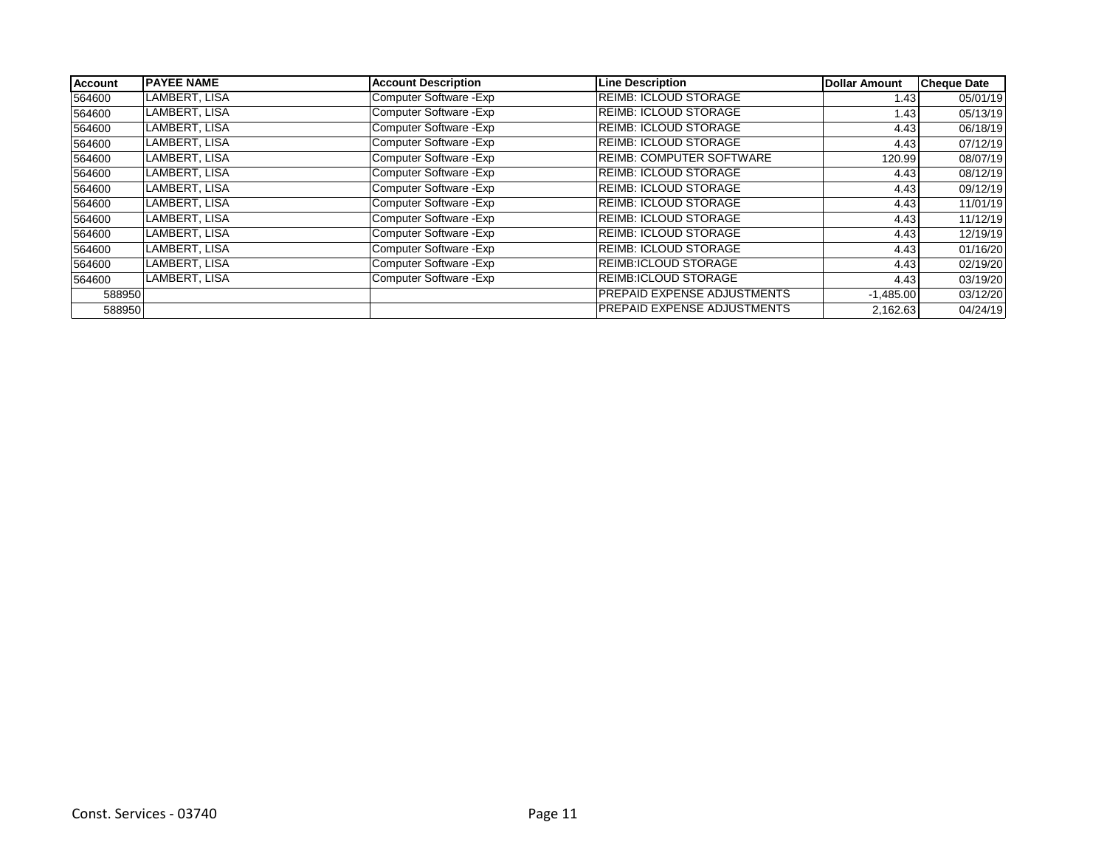| Account | <b>PAYEE NAME</b> | <b>Account Description</b> | <b>Line Description</b>            | Dollar Amount | <b>Cheque Date</b> |
|---------|-------------------|----------------------------|------------------------------------|---------------|--------------------|
| 564600  | LAMBERT, LISA     | Computer Software - Exp    | <b>REIMB: ICLOUD STORAGE</b>       | 1.43          | 05/01/19           |
| 564600  | LAMBERT, LISA     | Computer Software - Exp    | <b>REIMB: ICLOUD STORAGE</b>       | 1.43          | 05/13/19           |
| 564600  | LAMBERT, LISA     | Computer Software - Exp    | <b>REIMB: ICLOUD STORAGE</b>       | 4.43          | 06/18/19           |
| 564600  | LAMBERT, LISA     | Computer Software - Exp    | <b>REIMB: ICLOUD STORAGE</b>       | 4.43          | 07/12/19           |
| 564600  | LAMBERT, LISA     | Computer Software - Exp    | <b>REIMB: COMPUTER SOFTWARE</b>    | 120.99        | 08/07/19           |
| 564600  | LAMBERT, LISA     | Computer Software - Exp    | <b>REIMB: ICLOUD STORAGE</b>       | 4.43          | 08/12/19           |
| 564600  | LAMBERT, LISA     | Computer Software - Exp    | <b>REIMB: ICLOUD STORAGE</b>       | 4.43          | 09/12/19           |
| 564600  | LAMBERT, LISA     | Computer Software - Exp    | <b>REIMB: ICLOUD STORAGE</b>       | 4.43          | 11/01/19           |
| 564600  | LAMBERT, LISA     | Computer Software - Exp    | <b>REIMB: ICLOUD STORAGE</b>       | 4.43          | 11/12/19           |
| 564600  | LAMBERT, LISA     | Computer Software - Exp    | <b>REIMB: ICLOUD STORAGE</b>       | 4.43          | 12/19/19           |
| 564600  | LAMBERT, LISA     | Computer Software - Exp    | <b>REIMB: ICLOUD STORAGE</b>       | 4.43          | 01/16/20           |
| 564600  | LAMBERT, LISA     | Computer Software - Exp    | REIMB:ICLOUD STORAGE               | 4.43          | 02/19/20           |
| 564600  | LAMBERT, LISA     | Computer Software - Exp    | REIMB:ICLOUD STORAGE               | 4.43          | 03/19/20           |
| 588950  |                   |                            | <b>PREPAID EXPENSE ADJUSTMENTS</b> | $-1,485.00$   | 03/12/20           |
| 588950  |                   |                            | <b>PREPAID EXPENSE ADJUSTMENTS</b> | 2,162.63      | 04/24/19           |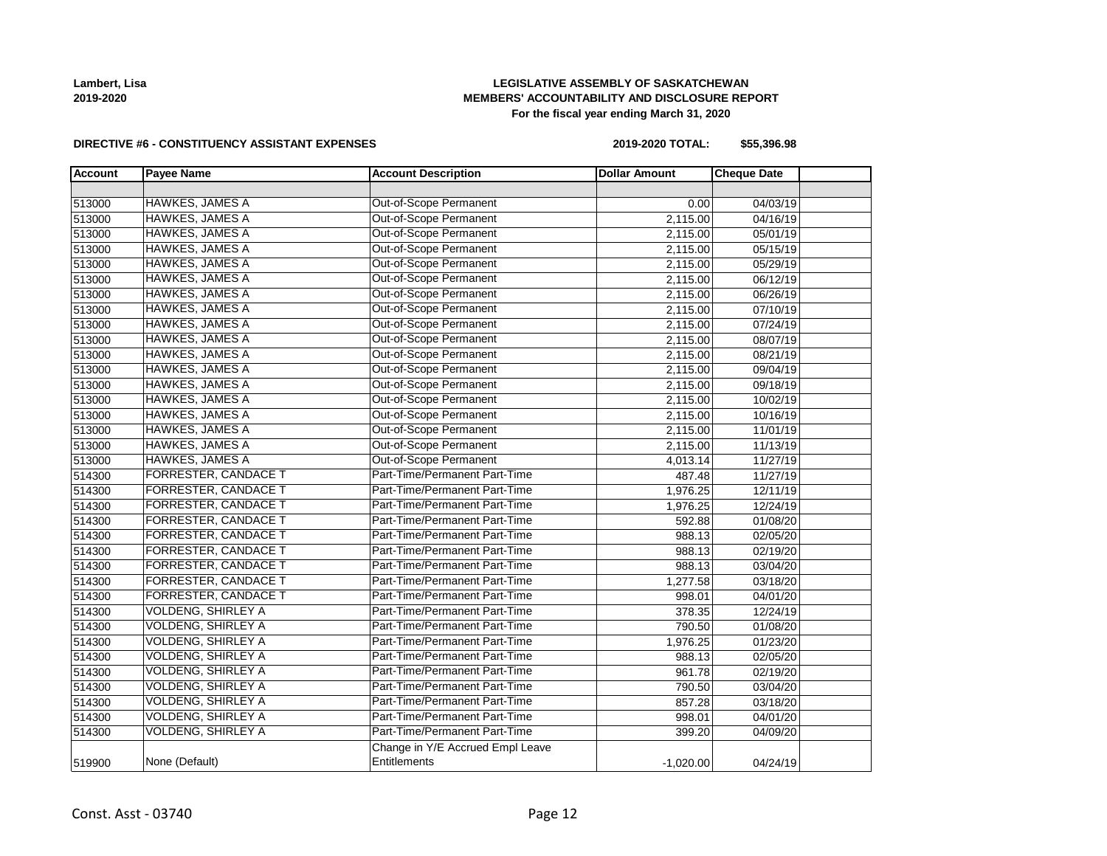

# **LEGISLATIVE ASSEMBLY OF SASKATCHEWAN MEMBERS' ACCOUNTABILITY AND DISCLOSURE REPORT For the fiscal year ending March 31, 2020**

#### **DIRECTIVE #6 - CONSTITUENCY ASSISTANT EXPENSES**

**2019-2020 TOTAL: \$55,396.98**

| <b>Account</b> | <b>Payee Name</b>           | <b>Account Description</b>       | <b>Dollar Amount</b> | <b>Cheque Date</b> |  |
|----------------|-----------------------------|----------------------------------|----------------------|--------------------|--|
|                |                             |                                  |                      |                    |  |
| 513000         | <b>HAWKES, JAMES A</b>      | Out-of-Scope Permanent           | 0.00                 | 04/03/19           |  |
| 513000         | <b>HAWKES, JAMES A</b>      | Out-of-Scope Permanent           | 2,115.00             | 04/16/19           |  |
| 513000         | <b>HAWKES, JAMES A</b>      | Out-of-Scope Permanent           | 2,115.00             | 05/01/19           |  |
| 513000         | <b>HAWKES, JAMES A</b>      | Out-of-Scope Permanent           | 2,115.00             | 05/15/19           |  |
| 513000         | <b>HAWKES, JAMES A</b>      | Out-of-Scope Permanent           | 2,115.00             | 05/29/19           |  |
| 513000         | <b>HAWKES, JAMES A</b>      | Out-of-Scope Permanent           | 2,115.00             | 06/12/19           |  |
| 513000         | <b>HAWKES, JAMES A</b>      | Out-of-Scope Permanent           | 2,115.00             | 06/26/19           |  |
| 513000         | <b>HAWKES, JAMES A</b>      | Out-of-Scope Permanent           | 2,115.00             | 07/10/19           |  |
| 513000         | <b>HAWKES, JAMES A</b>      | Out-of-Scope Permanent           | 2,115.00             | 07/24/19           |  |
| 513000         | <b>HAWKES, JAMES A</b>      | Out-of-Scope Permanent           | 2,115.00             | 08/07/19           |  |
| 513000         | <b>HAWKES, JAMES A</b>      | Out-of-Scope Permanent           | 2,115.00             | 08/21/19           |  |
| 513000         | <b>HAWKES, JAMES A</b>      | Out-of-Scope Permanent           | 2,115.00             | 09/04/19           |  |
| 513000         | <b>HAWKES, JAMES A</b>      | Out-of-Scope Permanent           | 2,115.00             | 09/18/19           |  |
| 513000         | <b>HAWKES, JAMES A</b>      | Out-of-Scope Permanent           | 2,115.00             | 10/02/19           |  |
| 513000         | <b>HAWKES, JAMES A</b>      | Out-of-Scope Permanent           | 2,115.00             | 10/16/19           |  |
| 513000         | <b>HAWKES, JAMES A</b>      | Out-of-Scope Permanent           | 2,115.00             | 11/01/19           |  |
| 513000         | <b>HAWKES, JAMES A</b>      | Out-of-Scope Permanent           | 2,115.00             | 11/13/19           |  |
| 513000         | <b>HAWKES, JAMES A</b>      | Out-of-Scope Permanent           | 4,013.14             | 11/27/19           |  |
| 514300         | <b>FORRESTER, CANDACE T</b> | Part-Time/Permanent Part-Time    | 487.48               | 11/27/19           |  |
| 514300         | <b>FORRESTER, CANDACE T</b> | Part-Time/Permanent Part-Time    | 1,976.25             | 12/11/19           |  |
| 514300         | <b>FORRESTER, CANDACE T</b> | Part-Time/Permanent Part-Time    | 1,976.25             | 12/24/19           |  |
| 514300         | <b>FORRESTER, CANDACE T</b> | Part-Time/Permanent Part-Time    | 592.88               | 01/08/20           |  |
| 514300         | FORRESTER, CANDACE T        | Part-Time/Permanent Part-Time    | 988.13               | 02/05/20           |  |
| 514300         | <b>FORRESTER, CANDACE T</b> | Part-Time/Permanent Part-Time    | 988.13               | 02/19/20           |  |
| 514300         | <b>FORRESTER, CANDACE T</b> | Part-Time/Permanent Part-Time    | 988.13               | 03/04/20           |  |
| 514300         | <b>FORRESTER, CANDACE T</b> | Part-Time/Permanent Part-Time    | 1,277.58             | 03/18/20           |  |
| 514300         | FORRESTER, CANDACE T        | Part-Time/Permanent Part-Time    | 998.01               | 04/01/20           |  |
| 514300         | <b>VOLDENG, SHIRLEY A</b>   | Part-Time/Permanent Part-Time    | 378.35               | 12/24/19           |  |
| 514300         | <b>VOLDENG, SHIRLEY A</b>   | Part-Time/Permanent Part-Time    | 790.50               | 01/08/20           |  |
| 514300         | VOLDENG, SHIRLEY A          | Part-Time/Permanent Part-Time    | 1,976.25             | 01/23/20           |  |
| 514300         | <b>VOLDENG, SHIRLEY A</b>   | Part-Time/Permanent Part-Time    | 988.13               | 02/05/20           |  |
| 514300         | <b>VOLDENG, SHIRLEY A</b>   | Part-Time/Permanent Part-Time    | 961.78               | 02/19/20           |  |
| 514300         | <b>VOLDENG, SHIRLEY A</b>   | Part-Time/Permanent Part-Time    | 790.50               | 03/04/20           |  |
| 514300         | <b>VOLDENG, SHIRLEY A</b>   | Part-Time/Permanent Part-Time    | 857.28               | 03/18/20           |  |
| 514300         | <b>VOLDENG, SHIRLEY A</b>   | Part-Time/Permanent Part-Time    | 998.01               | 04/01/20           |  |
| 514300         | VOLDENG, SHIRLEY A          | Part-Time/Permanent Part-Time    | 399.20               | 04/09/20           |  |
|                |                             | Change in Y/E Accrued Empl Leave |                      |                    |  |
| 519900         | None (Default)              | Entitlements                     | $-1,020.00$          | 04/24/19           |  |